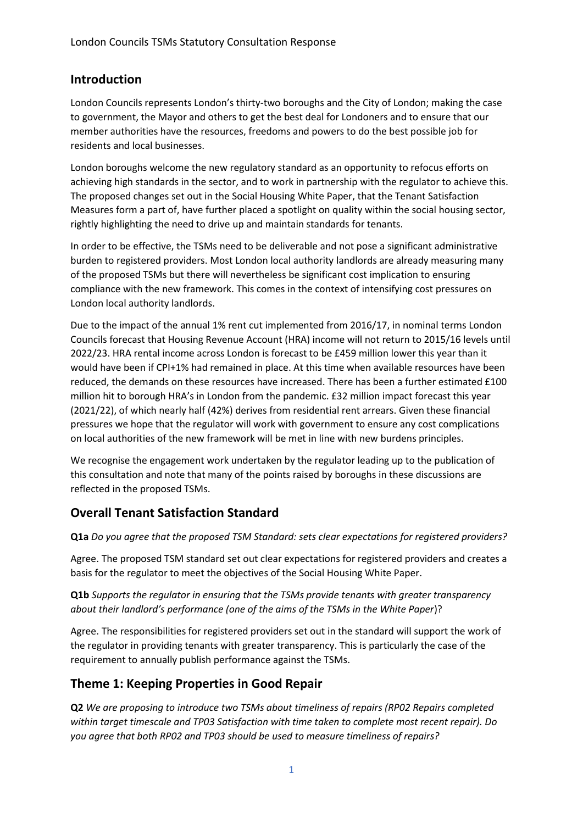### **Introduction**

London Councils represents London's thirty-two boroughs and the City of London; making the case to government, the Mayor and others to get the best deal for Londoners and to ensure that our member authorities have the resources, freedoms and powers to do the best possible job for residents and local businesses.

London boroughs welcome the new regulatory standard as an opportunity to refocus efforts on achieving high standards in the sector, and to work in partnership with the regulator to achieve this. The proposed changes set out in the Social Housing White Paper, that the Tenant Satisfaction Measures form a part of, have further placed a spotlight on quality within the social housing sector, rightly highlighting the need to drive up and maintain standards for tenants.

In order to be effective, the TSMs need to be deliverable and not pose a significant administrative burden to registered providers. Most London local authority landlords are already measuring many of the proposed TSMs but there will nevertheless be significant cost implication to ensuring compliance with the new framework. This comes in the context of intensifying cost pressures on London local authority landlords.

Due to the impact of the annual 1% rent cut implemented from 2016/17, in nominal terms London Councils forecast that Housing Revenue Account (HRA) income will not return to 2015/16 levels until 2022/23. HRA rental income across London is forecast to be £459 million lower this year than it would have been if CPI+1% had remained in place. At this time when available resources have been reduced, the demands on these resources have increased. There has been a further estimated £100 million hit to borough HRA's in London from the pandemic. £32 million impact forecast this year (2021/22), of which nearly half (42%) derives from residential rent arrears. Given these financial pressures we hope that the regulator will work with government to ensure any cost complications on local authorities of the new framework will be met in line with new burdens principles.

We recognise the engagement work undertaken by the regulator leading up to the publication of this consultation and note that many of the points raised by boroughs in these discussions are reflected in the proposed TSMs.

### **Overall Tenant Satisfaction Standard**

**Q1a** *Do you agree that the proposed TSM Standard: sets clear expectations for registered providers?*

Agree. The proposed TSM standard set out clear expectations for registered providers and creates a basis for the regulator to meet the objectives of the Social Housing White Paper.

**Q1b** *Supports the regulator in ensuring that the TSMs provide tenants with greater transparency about their landlord's performance (one of the aims of the TSMs in the White Paper*)?

Agree. The responsibilities for registered providers set out in the standard will support the work of the regulator in providing tenants with greater transparency. This is particularly the case of the requirement to annually publish performance against the TSMs.

### **Theme 1: Keeping Properties in Good Repair**

**Q2** *We are proposing to introduce two TSMs about timeliness of repairs (RP02 Repairs completed within target timescale and TP03 Satisfaction with time taken to complete most recent repair). Do you agree that both RP02 and TP03 should be used to measure timeliness of repairs?*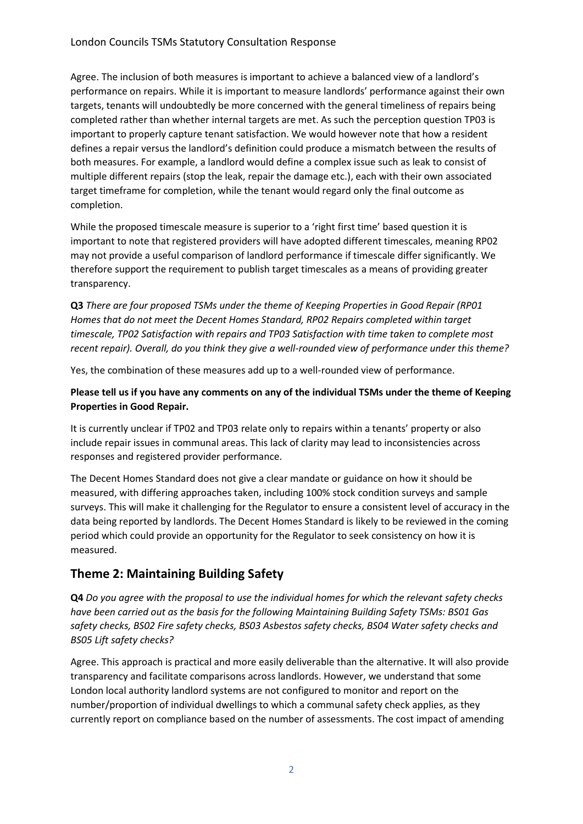Agree. The inclusion of both measures is important to achieve a balanced view of a landlord's performance on repairs. While it is important to measure landlords' performance against their own targets, tenants will undoubtedly be more concerned with the general timeliness of repairs being completed rather than whether internal targets are met. As such the perception question TP03 is important to properly capture tenant satisfaction. We would however note that how a resident defines a repair versus the landlord's definition could produce a mismatch between the results of both measures. For example, a landlord would define a complex issue such as leak to consist of multiple different repairs (stop the leak, repair the damage etc.), each with their own associated target timeframe for completion, while the tenant would regard only the final outcome as completion.

While the proposed timescale measure is superior to a 'right first time' based question it is important to note that registered providers will have adopted different timescales, meaning RP02 may not provide a useful comparison of landlord performance if timescale differ significantly. We therefore support the requirement to publish target timescales as a means of providing greater transparency.

**Q3** *There are four proposed TSMs under the theme of Keeping Properties in Good Repair (RP01 Homes that do not meet the Decent Homes Standard, RP02 Repairs completed within target timescale, TP02 Satisfaction with repairs and TP03 Satisfaction with time taken to complete most recent repair). Overall, do you think they give a well-rounded view of performance under this theme?*

Yes, the combination of these measures add up to a well-rounded view of performance.

**Please tell us if you have any comments on any of the individual TSMs under the theme of Keeping Properties in Good Repair.**

It is currently unclear if TP02 and TP03 relate only to repairs within a tenants' property or also include repair issues in communal areas. This lack of clarity may lead to inconsistencies across responses and registered provider performance.

The Decent Homes Standard does not give a clear mandate or guidance on how it should be measured, with differing approaches taken, including 100% stock condition surveys and sample surveys. This will make it challenging for the Regulator to ensure a consistent level of accuracy in the data being reported by landlords. The Decent Homes Standard is likely to be reviewed in the coming period which could provide an opportunity for the Regulator to seek consistency on how it is measured.

### **Theme 2: Maintaining Building Safety**

**Q4** *Do you agree with the proposal to use the individual homes for which the relevant safety checks have been carried out as the basis for the following Maintaining Building Safety TSMs: BS01 Gas safety checks, BS02 Fire safety checks, BS03 Asbestos safety checks, BS04 Water safety checks and BS05 Lift safety checks?*

Agree. This approach is practical and more easily deliverable than the alternative. It will also provide transparency and facilitate comparisons across landlords. However, we understand that some London local authority landlord systems are not configured to monitor and report on the number/proportion of individual dwellings to which a communal safety check applies, as they currently report on compliance based on the number of assessments. The cost impact of amending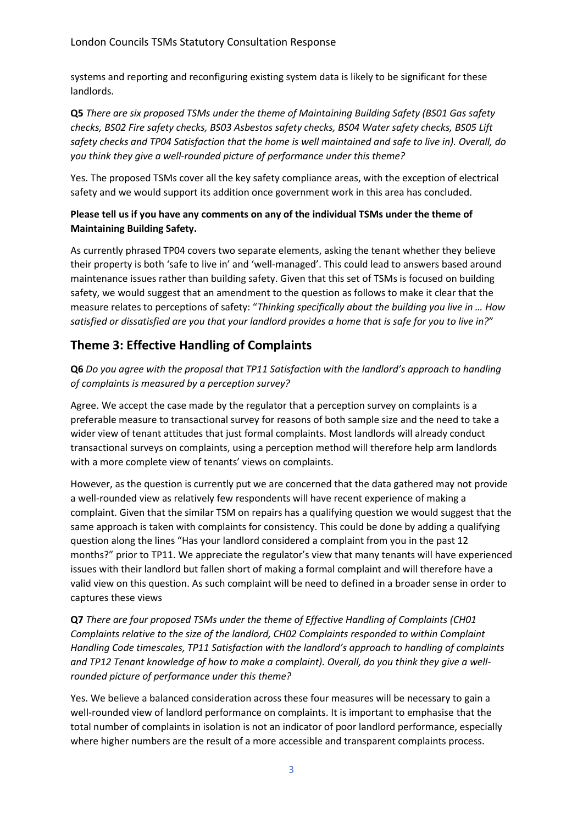systems and reporting and reconfiguring existing system data is likely to be significant for these landlords.

**Q5** *There are six proposed TSMs under the theme of Maintaining Building Safety (BS01 Gas safety checks, BS02 Fire safety checks, BS03 Asbestos safety checks, BS04 Water safety checks, BS05 Lift safety checks and TP04 Satisfaction that the home is well maintained and safe to live in). Overall, do you think they give a well-rounded picture of performance under this theme?*

Yes. The proposed TSMs cover all the key safety compliance areas, with the exception of electrical safety and we would support its addition once government work in this area has concluded.

#### **Please tell us if you have any comments on any of the individual TSMs under the theme of Maintaining Building Safety.**

As currently phrased TP04 covers two separate elements, asking the tenant whether they believe their property is both 'safe to live in' and 'well-managed'. This could lead to answers based around maintenance issues rather than building safety. Given that this set of TSMs is focused on building safety, we would suggest that an amendment to the question as follows to make it clear that the measure relates to perceptions of safety: "*Thinking specifically about the building you live in … How satisfied or dissatisfied are you that your landlord provides a home that is safe for you to live in?*"

# **Theme 3: Effective Handling of Complaints**

**Q6** *Do you agree with the proposal that TP11 Satisfaction with the landlord's approach to handling of complaints is measured by a perception survey?*

Agree. We accept the case made by the regulator that a perception survey on complaints is a preferable measure to transactional survey for reasons of both sample size and the need to take a wider view of tenant attitudes that just formal complaints. Most landlords will already conduct transactional surveys on complaints, using a perception method will therefore help arm landlords with a more complete view of tenants' views on complaints.

However, as the question is currently put we are concerned that the data gathered may not provide a well-rounded view as relatively few respondents will have recent experience of making a complaint. Given that the similar TSM on repairs has a qualifying question we would suggest that the same approach is taken with complaints for consistency. This could be done by adding a qualifying question along the lines "Has your landlord considered a complaint from you in the past 12 months?" prior to TP11. We appreciate the regulator's view that many tenants will have experienced issues with their landlord but fallen short of making a formal complaint and will therefore have a valid view on this question. As such complaint will be need to defined in a broader sense in order to captures these views

**Q7** *There are four proposed TSMs under the theme of Effective Handling of Complaints (CH01 Complaints relative to the size of the landlord, CH02 Complaints responded to within Complaint Handling Code timescales, TP11 Satisfaction with the landlord's approach to handling of complaints and TP12 Tenant knowledge of how to make a complaint). Overall, do you think they give a wellrounded picture of performance under this theme?*

Yes. We believe a balanced consideration across these four measures will be necessary to gain a well-rounded view of landlord performance on complaints. It is important to emphasise that the total number of complaints in isolation is not an indicator of poor landlord performance, especially where higher numbers are the result of a more accessible and transparent complaints process.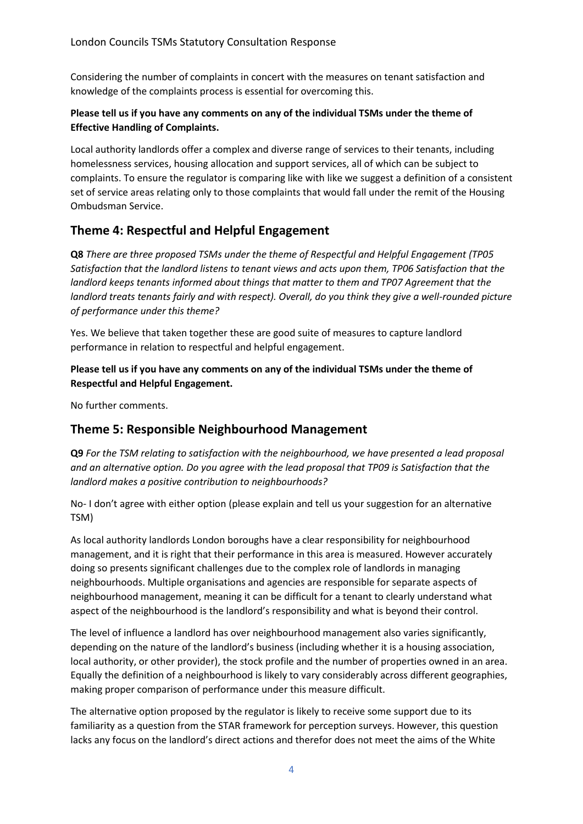Considering the number of complaints in concert with the measures on tenant satisfaction and knowledge of the complaints process is essential for overcoming this.

### **Please tell us if you have any comments on any of the individual TSMs under the theme of Effective Handling of Complaints.**

Local authority landlords offer a complex and diverse range of services to their tenants, including homelessness services, housing allocation and support services, all of which can be subject to complaints. To ensure the regulator is comparing like with like we suggest a definition of a consistent set of service areas relating only to those complaints that would fall under the remit of the Housing Ombudsman Service.

# **Theme 4: Respectful and Helpful Engagement**

**Q8** *There are three proposed TSMs under the theme of Respectful and Helpful Engagement (TP05 Satisfaction that the landlord listens to tenant views and acts upon them, TP06 Satisfaction that the landlord keeps tenants informed about things that matter to them and TP07 Agreement that the landlord treats tenants fairly and with respect). Overall, do you think they give a well-rounded picture of performance under this theme?*

Yes. We believe that taken together these are good suite of measures to capture landlord performance in relation to respectful and helpful engagement.

**Please tell us if you have any comments on any of the individual TSMs under the theme of Respectful and Helpful Engagement.**

No further comments.

### **Theme 5: Responsible Neighbourhood Management**

**Q9** *For the TSM relating to satisfaction with the neighbourhood, we have presented a lead proposal and an alternative option. Do you agree with the lead proposal that TP09 is Satisfaction that the landlord makes a positive contribution to neighbourhoods?*

No- I don't agree with either option (please explain and tell us your suggestion for an alternative TSM)

As local authority landlords London boroughs have a clear responsibility for neighbourhood management, and it is right that their performance in this area is measured. However accurately doing so presents significant challenges due to the complex role of landlords in managing neighbourhoods. Multiple organisations and agencies are responsible for separate aspects of neighbourhood management, meaning it can be difficult for a tenant to clearly understand what aspect of the neighbourhood is the landlord's responsibility and what is beyond their control.

The level of influence a landlord has over neighbourhood management also varies significantly, depending on the nature of the landlord's business (including whether it is a housing association, local authority, or other provider), the stock profile and the number of properties owned in an area. Equally the definition of a neighbourhood is likely to vary considerably across different geographies, making proper comparison of performance under this measure difficult.

The alternative option proposed by the regulator is likely to receive some support due to its familiarity as a question from the STAR framework for perception surveys. However, this question lacks any focus on the landlord's direct actions and therefor does not meet the aims of the White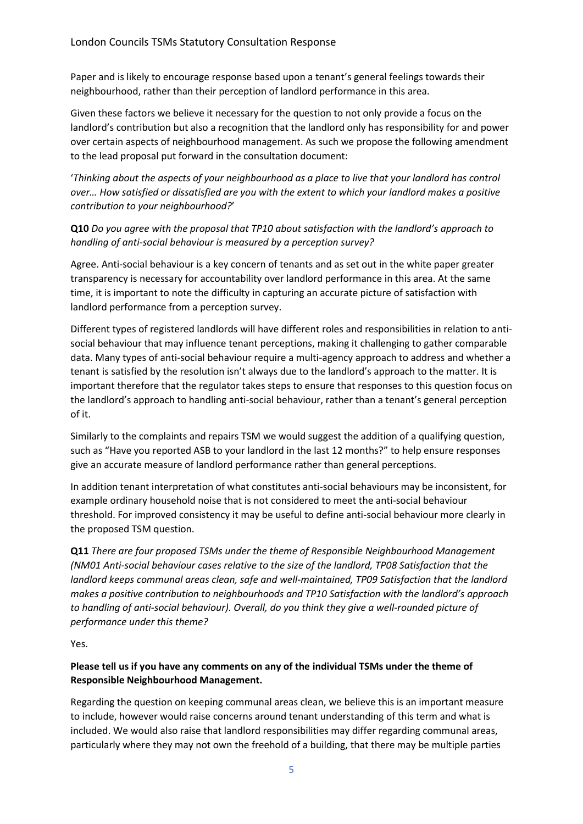Paper and is likely to encourage response based upon a tenant's general feelings towards their neighbourhood, rather than their perception of landlord performance in this area.

Given these factors we believe it necessary for the question to not only provide a focus on the landlord's contribution but also a recognition that the landlord only has responsibility for and power over certain aspects of neighbourhood management. As such we propose the following amendment to the lead proposal put forward in the consultation document:

'*Thinking about the aspects of your neighbourhood as a place to live that your landlord has control over… How satisfied or dissatisfied are you with the extent to which your landlord makes a positive contribution to your neighbourhood?*'

**Q10** *Do you agree with the proposal that TP10 about satisfaction with the landlord's approach to handling of anti-social behaviour is measured by a perception survey?*

Agree. Anti-social behaviour is a key concern of tenants and as set out in the white paper greater transparency is necessary for accountability over landlord performance in this area. At the same time, it is important to note the difficulty in capturing an accurate picture of satisfaction with landlord performance from a perception survey.

Different types of registered landlords will have different roles and responsibilities in relation to antisocial behaviour that may influence tenant perceptions, making it challenging to gather comparable data. Many types of anti-social behaviour require a multi-agency approach to address and whether a tenant is satisfied by the resolution isn't always due to the landlord's approach to the matter. It is important therefore that the regulator takes steps to ensure that responses to this question focus on the landlord's approach to handling anti-social behaviour, rather than a tenant's general perception of it.

Similarly to the complaints and repairs TSM we would suggest the addition of a qualifying question, such as "Have you reported ASB to your landlord in the last 12 months?" to help ensure responses give an accurate measure of landlord performance rather than general perceptions.

In addition tenant interpretation of what constitutes anti-social behaviours may be inconsistent, for example ordinary household noise that is not considered to meet the anti-social behaviour threshold. For improved consistency it may be useful to define anti-social behaviour more clearly in the proposed TSM question.

**Q11** *There are four proposed TSMs under the theme of Responsible Neighbourhood Management (NM01 Anti-social behaviour cases relative to the size of the landlord, TP08 Satisfaction that the landlord keeps communal areas clean, safe and well-maintained, TP09 Satisfaction that the landlord makes a positive contribution to neighbourhoods and TP10 Satisfaction with the landlord's approach to handling of anti-social behaviour). Overall, do you think they give a well-rounded picture of performance under this theme?*

Yes.

### **Please tell us if you have any comments on any of the individual TSMs under the theme of Responsible Neighbourhood Management.**

Regarding the question on keeping communal areas clean, we believe this is an important measure to include, however would raise concerns around tenant understanding of this term and what is included. We would also raise that landlord responsibilities may differ regarding communal areas, particularly where they may not own the freehold of a building, that there may be multiple parties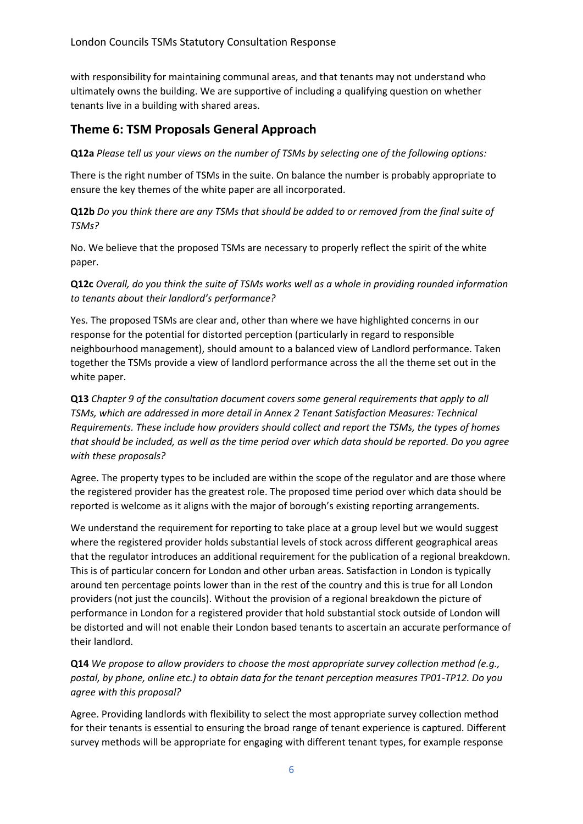with responsibility for maintaining communal areas, and that tenants may not understand who ultimately owns the building. We are supportive of including a qualifying question on whether tenants live in a building with shared areas.

## **Theme 6: TSM Proposals General Approach**

**Q12a** *Please tell us your views on the number of TSMs by selecting one of the following options:*

There is the right number of TSMs in the suite. On balance the number is probably appropriate to ensure the key themes of the white paper are all incorporated.

**Q12b** *Do you think there are any TSMs that should be added to or removed from the final suite of TSMs?*

No. We believe that the proposed TSMs are necessary to properly reflect the spirit of the white paper.

**Q12c** *Overall, do you think the suite of TSMs works well as a whole in providing rounded information to tenants about their landlord's performance?*

Yes. The proposed TSMs are clear and, other than where we have highlighted concerns in our response for the potential for distorted perception (particularly in regard to responsible neighbourhood management), should amount to a balanced view of Landlord performance. Taken together the TSMs provide a view of landlord performance across the all the theme set out in the white paper.

**Q13** *Chapter 9 of the consultation document covers some general requirements that apply to all TSMs, which are addressed in more detail in Annex 2 Tenant Satisfaction Measures: Technical Requirements. These include how providers should collect and report the TSMs, the types of homes that should be included, as well as the time period over which data should be reported. Do you agree with these proposals?*

Agree. The property types to be included are within the scope of the regulator and are those where the registered provider has the greatest role. The proposed time period over which data should be reported is welcome as it aligns with the major of borough's existing reporting arrangements.

We understand the requirement for reporting to take place at a group level but we would suggest where the registered provider holds substantial levels of stock across different geographical areas that the regulator introduces an additional requirement for the publication of a regional breakdown. This is of particular concern for London and other urban areas. Satisfaction in London is typically around ten percentage points lower than in the rest of the country and this is true for all London providers (not just the councils). Without the provision of a regional breakdown the picture of performance in London for a registered provider that hold substantial stock outside of London will be distorted and will not enable their London based tenants to ascertain an accurate performance of their landlord.

**Q14** *We propose to allow providers to choose the most appropriate survey collection method (e.g., postal, by phone, online etc.) to obtain data for the tenant perception measures TP01-TP12. Do you agree with this proposal?*

Agree. Providing landlords with flexibility to select the most appropriate survey collection method for their tenants is essential to ensuring the broad range of tenant experience is captured. Different survey methods will be appropriate for engaging with different tenant types, for example response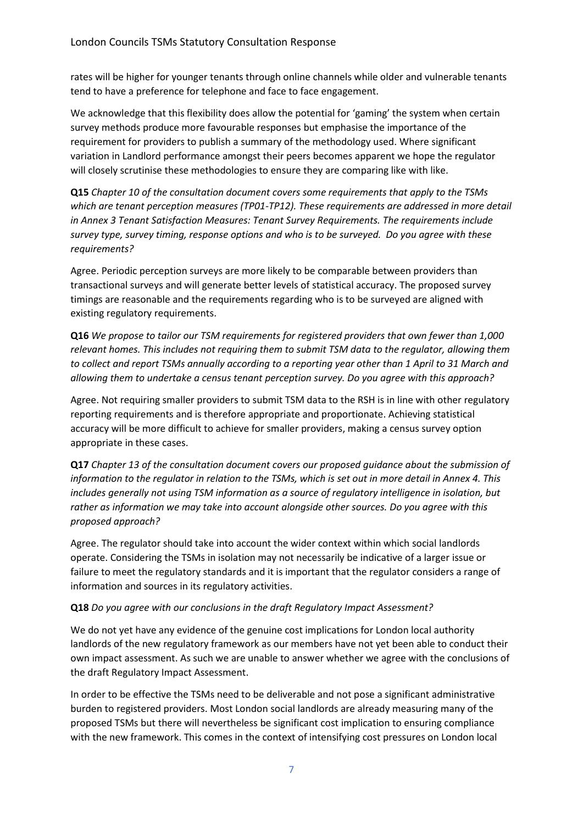rates will be higher for younger tenants through online channels while older and vulnerable tenants tend to have a preference for telephone and face to face engagement.

We acknowledge that this flexibility does allow the potential for 'gaming' the system when certain survey methods produce more favourable responses but emphasise the importance of the requirement for providers to publish a summary of the methodology used. Where significant variation in Landlord performance amongst their peers becomes apparent we hope the regulator will closely scrutinise these methodologies to ensure they are comparing like with like.

**Q15** *Chapter 10 of the consultation document covers some requirements that apply to the TSMs which are tenant perception measures (TP01-TP12). These requirements are addressed in more detail in Annex 3 Tenant Satisfaction Measures: Tenant Survey Requirements. The requirements include survey type, survey timing, response options and who is to be surveyed. Do you agree with these requirements?*

Agree. Periodic perception surveys are more likely to be comparable between providers than transactional surveys and will generate better levels of statistical accuracy. The proposed survey timings are reasonable and the requirements regarding who is to be surveyed are aligned with existing regulatory requirements.

**Q16** *We propose to tailor our TSM requirements for registered providers that own fewer than 1,000 relevant homes. This includes not requiring them to submit TSM data to the regulator, allowing them to collect and report TSMs annually according to a reporting year other than 1 April to 31 March and allowing them to undertake a census tenant perception survey. Do you agree with this approach?*

Agree. Not requiring smaller providers to submit TSM data to the RSH is in line with other regulatory reporting requirements and is therefore appropriate and proportionate. Achieving statistical accuracy will be more difficult to achieve for smaller providers, making a census survey option appropriate in these cases.

**Q17** *Chapter 13 of the consultation document covers our proposed guidance about the submission of information to the regulator in relation to the TSMs, which is set out in more detail in Annex 4. This includes generally not using TSM information as a source of regulatory intelligence in isolation, but rather as information we may take into account alongside other sources. Do you agree with this proposed approach?*

Agree. The regulator should take into account the wider context within which social landlords operate. Considering the TSMs in isolation may not necessarily be indicative of a larger issue or failure to meet the regulatory standards and it is important that the regulator considers a range of information and sources in its regulatory activities.

#### **Q18** *Do you agree with our conclusions in the draft Regulatory Impact Assessment?*

We do not yet have any evidence of the genuine cost implications for London local authority landlords of the new regulatory framework as our members have not yet been able to conduct their own impact assessment. As such we are unable to answer whether we agree with the conclusions of the draft Regulatory Impact Assessment.

In order to be effective the TSMs need to be deliverable and not pose a significant administrative burden to registered providers. Most London social landlords are already measuring many of the proposed TSMs but there will nevertheless be significant cost implication to ensuring compliance with the new framework. This comes in the context of intensifying cost pressures on London local